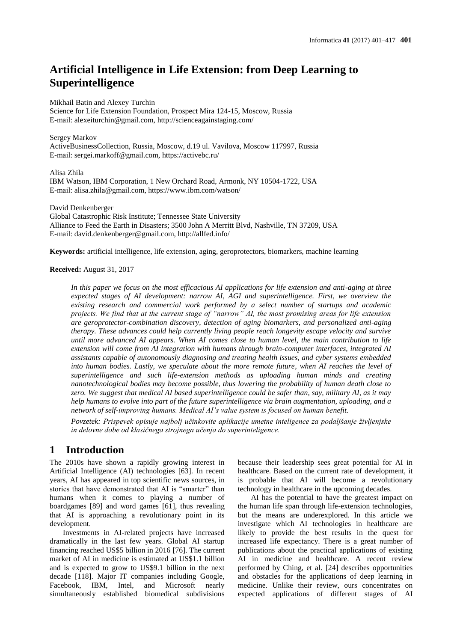# **Artificial Intelligence in Life Extension: from Deep Learning to Superintelligence**

Mikhail Batin and Alexey Turchin

Science for Life Extension Foundation, Prospect Mira 124-15, Moscow, Russia E-mail: alexeiturchin@gmail.com, http://scienceagainstaging.com/

Sergey Markov ActiveBusinessCollection, Russia, Moscow, d.19 ul. Vavilova, Moscow 117997, Russia E-mail: sergei.markoff@gmail.com, https://activebc.ru/

Alisa Zhila IBM Watson, IBM Corporation, 1 New Orchard Road, Armonk, NY 10504-1722, USA E-mail: alisa.zhila@gmail.com, https://www.ibm.com/watson/

David Denkenberger Global Catastrophic Risk Institute; Tennessee State University Alliance to Feed the Earth in Disasters; 3500 John A Merritt Blvd, Nashville, TN 37209, USA E-mail: david.denkenberger@gmail.com, http://allfed.info/

**Keywords:** artificial intelligence, life extension, aging, geroprotectors, biomarkers, machine learning

#### **Received:** August 31, 2017

*In this paper we focus on the most efficacious AI applications for life extension and anti-aging at three expected stages of AI development: narrow AI, AGI and superintelligence. First, we overview the existing research and commercial work performed by a select number of startups and academic projects. We find that at the current stage of "narrow" AI, the most promising areas for life extension are geroprotector-combination discovery, detection of aging biomarkers, and personalized anti-aging therapy. These advances could help currently living people reach longevity escape velocity and survive until more advanced AI appears. When AI comes close to human level, the main contribution to life extension will come from AI integration with humans through brain-computer interfaces, integrated AI assistants capable of autonomously diagnosing and treating health issues, and cyber systems embedded into human bodies. Lastly, we speculate about the more remote future, when AI reaches the level of superintelligence and such life-extension methods as uploading human minds and creating nanotechnological bodies may become possible, thus lowering the probability of human death close to zero. We suggest that medical AI based superintelligence could be safer than, say, military AI, as it may help humans to evolve into part of the future superintelligence via brain augmentation, uploading, and a network of self-improving humans. Medical AI's value system is focused on human benefit.*

*Povzetek: Prispevek opisuje najbolj učinkovite aplikacije umetne inteligence za podaljšanje življenjske in delovne dobe od klasičnega strojnega učenja do superinteligence.*

## **1 Introduction**

The 2010s have shown a rapidly growing interest in Artificial Intelligence (AI) technologies [63]. In recent years, AI has appeared in top scientific news sources, in stories that have demonstrated that AI is "smarter" than humans when it comes to playing a number of boardgames [89] and word games [61], thus revealing that AI is approaching a revolutionary point in its development.

Investments in AI-related projects have increased dramatically in the last few years. Global AI startup financing reached US\$5 billion in 2016 [76]. The current market of AI in medicine is estimated at US\$1.1 billion and is expected to grow to US\$9.1 billion in the next decade [118]. Major IT companies including Google, Facebook, IBM, Intel, and Microsoft nearly simultaneously established biomedical subdivisions because their leadership sees great potential for AI in healthcare. Based on the current rate of development, it is probable that AI will become a revolutionary technology in healthcare in the upcoming decades.

AI has the potential to have the greatest impact on the human life span through life-extension technologies, but the means are underexplored. In this article we investigate which AI technologies in healthcare are likely to provide the best results in the quest for increased life expectancy. There is a great number of publications about the practical applications of existing AI in medicine and healthcare. A recent review performed by Ching, et al. [24] describes opportunities and obstacles for the applications of deep learning in medicine. Unlike their review, ours concentrates on expected applications of different stages of AI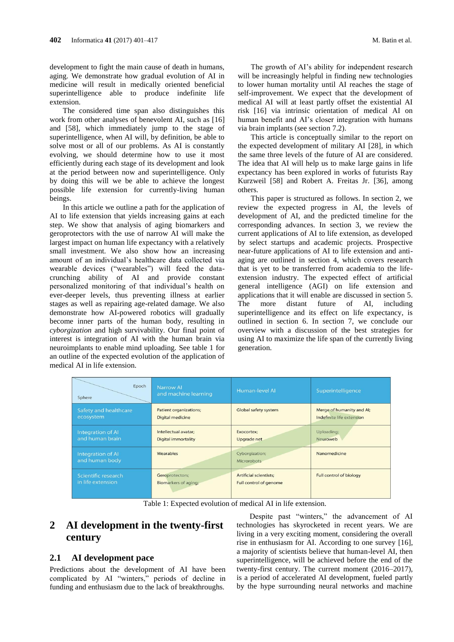development to fight the main cause of death in humans, aging. We demonstrate how gradual evolution of AI in medicine will result in medically oriented beneficial superintelligence able to produce indefinite life extension.

The considered time span also distinguishes this work from other analyses of benevolent AI, such as [16] and [58], which immediately jump to the stage of superintelligence, when AI will, by definition, be able to solve most or all of our problems. As AI is constantly evolving, we should determine how to use it most efficiently during each stage of its development and look at the period between now and superintelligence. Only by doing this will we be able to achieve the longest possible life extension for currently-living human beings.

In this article we outline a path for the application of AI to life extension that yields increasing gains at each step. We show that analysis of aging biomarkers and geroprotectors with the use of narrow AI will make the largest impact on human life expectancy with a relatively small investment. We also show how an increasing amount of an individual's healthcare data collected via wearable devices ("wearables") will feed the datacrunching ability of AI and provide constant personalized monitoring of that individual's health on ever-deeper levels, thus preventing illness at earlier stages as well as repairing age-related damage. We also demonstrate how AI-powered robotics will gradually become inner parts of the human body, resulting in *cyborgization* and high survivability. Our final point of interest is integration of AI with the human brain via neuroimplants to enable mind uploading. See table 1 for an outline of the expected evolution of the application of medical AI in life extension.

The growth of AI's ability for independent research will be increasingly helpful in finding new technologies to lower human mortality until AI reaches the stage of self-improvement. We expect that the development of medical AI will at least partly offset the existential AI risk [16] via intrinsic orientation of medical AI on human benefit and AI's closer integration with humans via brain implants (see section 7.2).

This article is conceptually similar to the report on the expected development of military AI [28], in which the same three levels of the future of AI are considered. The idea that AI will help us to make large gains in life expectancy has been explored in works of futurists Ray Kurzweil [58] and Robert A. Freitas Jr. [36], among others.

This paper is structured as follows. In section 2, we review the expected progress in AI, the levels of development of AI, and the predicted timeline for the corresponding advances. In section 3, we review the current applications of AI to life extension, as developed by select startups and academic projects. Prospective near-future applications of AI to life extension and antiaging are outlined in section 4, which covers research that is yet to be transferred from academia to the lifeextension industry. The expected effect of artificial general intelligence (AGI) on life extension and applications that it will enable are discussed in section 5. The more distant future of AI, including superintelligence and its effect on life expectancy, is outlined in section 6. In section 7, we conclude our overview with a discussion of the best strategies for using AI to maximize the life span of the currently living generation.

| Epoch<br>Sphere                            | <b>Narrow AI</b><br>and machine learning | <b>Human-level AI</b>                | Superintelligence              |
|--------------------------------------------|------------------------------------------|--------------------------------------|--------------------------------|
| Safety and healthcare                      | <b>Patient organizations;</b>            | <b>Global safety system</b>          | Merge of humanity and Al;      |
| ecosystem                                  | <b>Digital medicine</b>                  |                                      | Indefinite life extension      |
| <b>Integration of AI</b>                   | Intellectual avatar:                     | Exocortex:                           | Uploading;                     |
| and human brain                            | <b>Digital immortality</b>               | Upgrade net                          | Neuroweb                       |
| <b>Integration of AI</b><br>and human body | Wearables                                | Cyborgization;<br><b>Microrobots</b> | Nanomedicine                   |
| Scientific research                        | Geroprotectors;                          | <b>Artificial scientists;</b>        | <b>Full control of biology</b> |
| in life extension                          | Biomarkers of aging;                     | <b>Full control of genome</b>        |                                |

Table 1: Expected evolution of medical AI in life extension.

## **2 AI development in the twenty-first century**

#### **2.1 AI development pace**

Predictions about the development of AI have been complicated by AI "winters," periods of decline in funding and enthusiasm due to the lack of breakthroughs.

Despite past "winters," the advancement of AI technologies has skyrocketed in recent years. We are living in a very exciting moment, considering the overall rise in enthusiasm for AI. According to one survey [16], a majority of scientists believe that human-level AI, then superintelligence, will be achieved before the end of the twenty-first century. The current moment (2016–2017), is a period of accelerated AI development, fueled partly by the hype surrounding neural networks and machine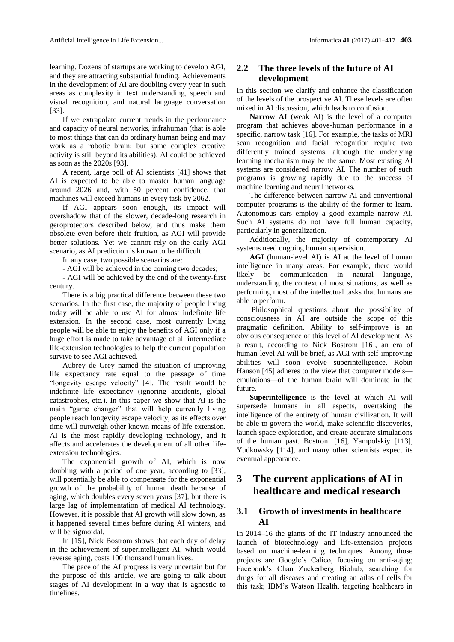learning. Dozens of startups are working to develop AGI, and they are attracting substantial funding. Achievements in the development of AI are doubling every year in such areas as complexity in text understanding, speech and visual recognition, and natural language conversation [33].

If we extrapolate current trends in the performance and capacity of neural networks, infrahuman (that is able to most things that can do ordinary human being and may work as a robotic brain; but some complex creative activity is still beyond its abilities). AI could be achieved as soon as the 2020s [93].

A recent, large poll of AI scientists [41] shows that AI is expected to be able to master human language around 2026 and, with 50 percent confidence, that machines will exceed humans in every task by 2062.

If AGI appears soon enough, its impact will overshadow that of the slower, decade-long research in geroprotectors described below, and thus make them obsolete even before their fruition, as AGI will provide better solutions. Yet we cannot rely on the early AGI scenario, as AI prediction is known to be difficult.

In any case, two possible scenarios are:

- AGI will be achieved in the coming two decades;

- AGI will be achieved by the end of the twenty-first century.

There is a big practical difference between these two scenarios. In the first case, the majority of people living today will be able to use AI for almost indefinite life extension. In the second case, most currently living people will be able to enjoy the benefits of AGI only if a huge effort is made to take advantage of all intermediate life-extension technologies to help the current population survive to see AGI achieved.

Aubrey de Grey named the situation of improving life expectancy rate equal to the passage of time "longevity escape velocity" [4]. The result would be indefinite life expectancy (ignoring accidents, global catastrophes, etc.). In this paper we show that AI is the main "game changer" that will help currently living people reach longevity escape velocity, as its effects over time will outweigh other known means of life extension. AI is the most rapidly developing technology, and it affects and accelerates the development of all other lifeextension technologies.

The exponential growth of AI, which is now doubling with a period of one year, according to [33], will potentially be able to compensate for the exponential growth of the probability of human death because of aging, which doubles every seven years [37], but there is large lag of implementation of medical AI technology. However, it is possible that AI growth will slow down, as it happened several times before during AI winters, and will be sigmoidal.

In [15], Nick Bostrom shows that each day of delay in the achievement of superintelligent AI, which would reverse aging, costs 100 thousand human lives.

The pace of the AI progress is very uncertain but for the purpose of this article, we are going to talk about stages of AI development in a way that is agnostic to timelines.

## **2.2 The three levels of the future of AI development**

In this section we clarify and enhance the classification of the levels of the prospective AI. These levels are often mixed in AI discussion, which leads to confusion.

**Narrow AI** (weak AI) is the level of a computer program that achieves above-human performance in a specific, narrow task [16]. For example, the tasks of MRI scan recognition and facial recognition require two differently trained systems, although the underlying learning mechanism may be the same. Most existing AI systems are considered narrow AI. The number of such programs is growing rapidly due to the success of machine learning and neural networks.

The difference between narrow AI and conventional computer programs is the ability of the former to learn. Autonomous cars employ a good example narrow AI. Such AI systems do not have full human capacity, particularly in generalization.

Additionally, the majority of contemporary AI systems need ongoing human supervision.

**AGI** (human-level AI) is AI at the level of human intelligence in many areas. For example, there would likely be communication in natural language, understanding the context of most situations, as well as performing most of the intellectual tasks that humans are able to perform.

Philosophical questions about the possibility of consciousness in AI are outside the scope of this pragmatic definition. Ability to self-improve is an obvious consequence of this level of AI development. As a result, according to Nick Bostrom [16], an era of human-level AI will be brief, as AGI with self-improving abilities will soon evolve superintelligence. Robin Hanson [45] adheres to the view that computer models emulations—of the human brain will dominate in the future.

**Superintelligence** is the level at which AI will supersede humans in all aspects, overtaking the intelligence of the entirety of human civilization. It will be able to govern the world, make scientific discoveries, launch space exploration, and create accurate simulations of the human past. Bostrom [16], Yampolskiy [113], Yudkowsky [114], and many other scientists expect its eventual appearance.

## **3 The current applications of AI in healthcare and medical research**

### **3.1 Growth of investments in healthcare AI**

In 2014–16 the giants of the IT industry announced the launch of biotechnology and life-extension projects based on machine-learning techniques. Among those projects are Google's Calico, focusing on anti-aging; Facebook's Chan Zuckerberg Biohub, searching for drugs for all diseases and creating an atlas of cells for this task; IBM's Watson Health, targeting healthcare in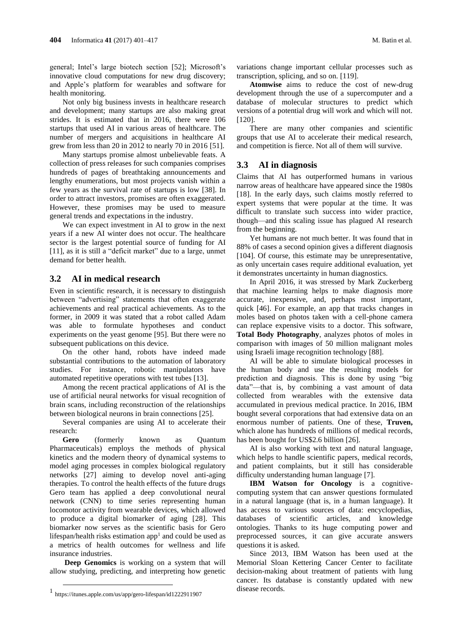general; Intel's large biotech section [52][;](http://www.intel.com/content/www/us/en/healthcare-it/healthcare-overview.html) Microsoft's innovative cloud computations for new drug discovery; and Apple's platform for wearables and software for health monitoring.

Not only big business invests in healthcare research and development; many startups are also making great strides. It is estimated that in 2016, there were 106 startups that used AI in various areas of healthcare. The number of mergers and acquisitions in healthcare AI grew from less than 20 in 2012 to nearly 70 in 2016 [51].

Many startups promise almost unbelievable feats. A collection of press releases for such companies comprises hundreds of pages of breathtaking announcements and lengthy enumerations, but most projects vanish within a few years as the survival rate of startups is low [38]. In order to attract investors, promises are often exaggerated. However, these promises may be used to measure general trends and expectations in the industry.

We can expect investment in AI to grow in the next years if a new AI winter does not occur. The healthcare sector is the largest potential source of funding for AI [11], as it is still a "deficit market" due to a large, unmet demand for better health.

#### **3.2 AI in medical research**

Even in scientific research, it is necessary to distinguish between "advertising" statements that often exaggerate achievements and real practical achievements. As to the former, in 2009 it was stated that a robot called Adam was able to formulate hypotheses and conduct experiments on the yeast genome [95]. But there were no subsequent publications on this device.

On the other hand, robots have indeed made substantial contributions to the automation of laboratory studies. For instance, robotic manipulators have automated repetitive operations with test tubes [13].

Among the recent practical applications of AI is the use of artificial neural networks for visual recognition of brain scans, including reconstruction of the relationships between biological neurons in brain connections [25].

Several companies are using AI to accelerate their research:

**Gero** (formerly known as Quantum Pharmaceuticals) employs the methods of physical kinetics and the modern theory of dynamical systems to model aging processes in complex biological regulatory networks [27] aiming to develop novel anti-aging therapies. To control the health effects of the future drugs Gero team has applied a deep convolutional neural network (CNN) to time series representing human locomotor activity from wearable devices, which allowed to produce a digital biomarker of aging [28]. This biomarker now serves as the scientific basis for Gero lifespan/health risks estimation app<sup>1</sup> and could be used as a metrics of health outcomes for wellness and life insurance industries.

**Deep Genomics** is working on a system that will allow studying, predicting, and interpreting how genetic

 $\overline{a}$ 

variations change important cellular processes such as transcription, splicing, and so on. [119].

**Atomwise** aims to reduce the cost of new-drug development through the use of a supercomputer and a database of molecular structures to predict which versions of a potential drug will work and which will not. [120].

There are many other companies and scientific groups that use AI to accelerate their medical research, and competition is fierce. Not all of them will survive.

#### **3.3 AI in diagnosis**

Claims that AI has outperformed humans in various narrow areas of healthcare have appeared since the 1980s [18]. In the early days, such claims mostly referred to expert systems that were popular at the time. It was difficult to translate such success into wider practice, though—and this scaling issue has plagued AI research from the beginning.

Yet humans are not much better. It was found that in 88% of cases a second opinion gives a different diagnosis [104]. Of course, this estimate may be unrepresentative, as only uncertain cases require additional evaluation, yet it demonstrates uncertainty in human diagnostics.

In April 2016, it was stressed by Mark Zuckerberg that machine learning helps to make diagnosis more accurate, inexpensive, and, perhaps most important, quick [46]. For example, an app that tracks changes in moles based on photos taken with a cell-phone camera can replace expensive visits to a doctor. This software, **Total Body Photography**, analyzes photos of moles in comparison with images of 50 million malignant moles using Israeli image recognition technology [88].

AI will be able to simulate biological processes in the human body and use the resulting models for prediction and diagnosis. This is done by using "big data"—that is, by combining a vast amount of data collected from wearables with the extensive data accumulated in previous medical practice. In 2016, IBM bought several corporations that had extensive data on an enormous number of patients. One of these, **Truven,** which alone has hundreds of millions of medical records, has been bought for US\$2.6 billion [26].

AI is also working with text and natural language, which helps to handle scientific papers, medical records, and patient complaints, but it still has considerable difficulty understanding human language [7].

**IBM Watson for Oncology** is a cognitivecomputing system that can answer questions formulated in a natural language (that is, in a human language). It has access to various sources of data: encyclopedias, databases of scientific articles, and knowledge ontologies. Thanks to its huge computing power and preprocessed sources, it can give accurate answers questions it is asked.

Since 2013, IBM Watson has been used at the Memorial Sloan Kettering Cancer Center to facilitate decision-making about treatment of patients with lung cancer. Its database is constantly updated with new disease records.

<sup>1</sup> [https://itunes.apple.com/us/app/gero-lifespan/id1222911907](https://l.facebook.com/l.php?u=https%3A%2F%2Fitunes.apple.com%2Fus%2Fapp%2Fgero-lifespan%2Fid1222911907&h=ATN-s7nXKEyiXHH5LjTczFRHv_r4r5arrkP0ZFq7TcSJUQBUtxZGx4-_c8d1mLatOQ3_bW13Sq4wn15HOehg91AogM57ZV_9HBLimJubJJ6GAtZ1ghqOsDatR-2UlOSPx4qsYgAuiyTKO1ey)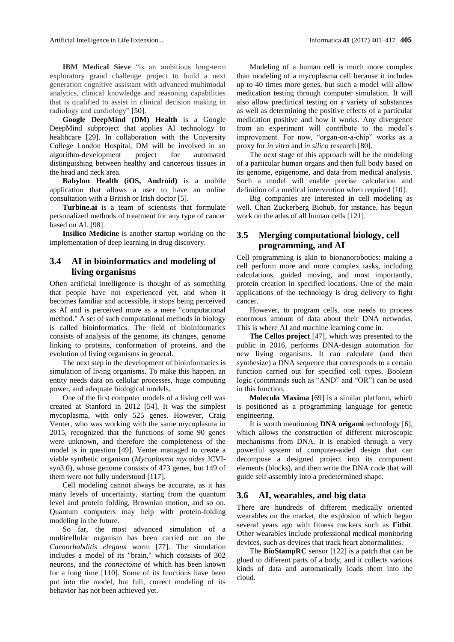Artificial Intelligence in Life Extension... Informatica **41** (2017) 401–417 **405**

**IBM Medical Sieve** "is an ambitious long-term exploratory grand challenge project to build a next generation cognitive assistant with advanced multimodal analytics, clinical knowledge and reasoning capabilities that is qualified to assist in clinical decision making in radiology and cardiology" [50].

**Google DeepMind (DM) Health** is a Google DeepMind subproject that applies AI technology to healthcare [29]. In collaboration with the University College London Hospital, DM will be involved in an algorithm-development project for automated distinguishing between healthy and cancerous tissues in the head and neck area.

**Babylon Health (iOS, Android)** is a mobile application that allows a user to have an online consultation with a British or Irish doctor [5].

**Turbine.ai** is a team of scientists that formulate personalized methods of treatment for any type of cancer based on AI. [98].

**Insilico Medicine** is another startup working on the implementation of deep learning in drug discovery.

### **3.4 AI in bioinformatics and modeling of living organisms**

Often artificial intelligence is thought of as something that people have not experienced yet, and when it becomes familiar and accessible, it stops being perceived as AI and is perceived more as a mere "computational method." A set of such computational methods in biology is called bioinformatics. The field of bioinformatics consists of analysis of the genome, its changes, genome linking to proteins, conformation of proteins, and the evolution of living organisms in general.

The next step in the development of bioinformatics is simulation of living organisms. To make this happen, an entity needs data on cellular processes, huge computing power, and adequate biological models.

One of the first computer models of a living cell was created at Stanford in 2012 [54]. It was the simplest mycoplasma, with only 525 genes. However, Craig Venter, who was working with the same mycoplasma in 2015, recognized that the functions of some 90 genes were unknown, and therefore the completeness of the model is in question [49]. Venter managed to create a viable synthetic organism (*Mycoplasma mycoides* JCVIsyn3.0), whose genome consists of 473 genes, but 149 of them were not fully understood [117].

Cell modeling cannot always be accurate, as it has many levels of uncertainty, starting from the quantum level and protein folding, Brownian motion, and so on. Quantum computers may help with protein-folding modeling in the future.

So far, the most advanced simulation of a multicellular organism has been carried out on the *Caenorhabditis elegans* worm [77]. The simulation includes a model of its "brain," which consists of 302 neurons, and the *connectome* of which has been known for a long time [110]. Some of its functions have been put into the model, but full, correct modeling of its behavior has not been achieved yet.

Modeling of a human cell is much more complex than modeling of a mycoplasma cell because it includes up to 40 times more genes, but such a model will allow medication testing through computer simulation*.* It will also allow preclinical testing on a variety of substances as well as determining the positive effects of a particular medication positive and how it works. Any divergence from an experiment will contribute to the model's improvement. For now, "organ-on-a-chip" works as a proxy for *in vitro* and *in silico* research [80].

The next stage of this approach will be the modeling of a particular human organs and then full body based on its genome, epigenome, and data from medical analysis. Such a model will enable precise calculation and definition of a medical intervention when required [10].

Big companies are interested in cell modeling as well. Chan Zuckerberg Biohub, for instance, has begun work on the atlas of all human cells [121].

### **3.5 Merging computational biology, cell programming, and AI**

Cell programming is akin to bionanorobotics: making a cell perform more and more complex tasks, including calculations, guided moving, and most importantly, protein creation in specified locations. One of the main applications of the technology is drug delivery to fight cancer.

However, to program cells, one needs to process enormous amount of data about their DNA networks. This is where AI and machine learning come in.

**The Cellos project** [47], which was presented to the public in 2016, performs DNA-design automation for new living organisms. It can calculate (and then synthesize) a DNA sequence that corresponds to a certain function carried out for specified cell types. Boolean logic (commands such as "AND" and "OR") can be used in this function.

**Molecula Maxima** [69] is a similar platform, which is positioned as a programming language for genetic engineering.

It is worth mentioning **DNA origami** technology [6], which allows the construction of different microscopic mechanisms from DNA. It is enabled through a very powerful system of computer-aided design that can decompose a designed project into its component elements (blocks), and then write the DNA code that will guide self-assembly into a predetermined shape.

#### **3.6 AI, wearables, and big data**

There are hundreds of different medically oriented wearables on the market, the explosion of which began several years ago with fitness trackers such as **Fitbit**. Other wearables include professional medical monitoring devices, such as devices that track heart abnormalities.

The **BioStampRC** sensor [122] is a patch that can be glued to different parts of a body, and it collects various kinds of data and automatically loads them into the cloud.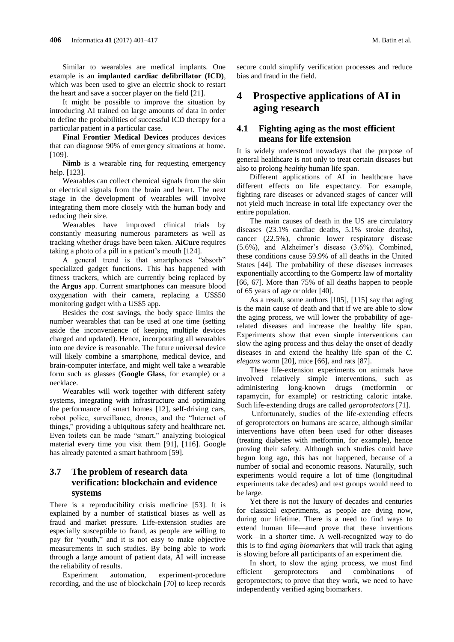Similar to wearables are medical implants. One example is an **implanted cardiac defibrillator (ICD)***,* which was been used to give an electric shock to restart the heart and save a soccer player on the field [21].

It might be possible to improve the situation by introducing AI trained on large amounts of data in order to define the probabilities of successful ICD therapy for a particular patient in a particular case.

**Final Frontier Medical Devices** produces devices that can diagnose 90% of emergency situations at home. [109].

**Nimb** is a wearable ring for requesting emergency help. [123].

Wearables can collect chemical signals from the skin or electrical signals from the brain and heart. The next stage in the development of wearables will involve integrating them more closely with the human body and reducing their size.

Wearables have improved clinical trials by constantly measuring numerous parameters as well as tracking whether drugs have been taken. **AiCure** requires taking a photo of a pill in a patient's mouth [124].

A general trend is that smartphones "absorb" specialized gadget functions. This has happened with fitness trackers, which are currently being replaced by the **Argus** app. Current smartphones can measure blood oxygenation with their camera, replacing a US\$50 monitoring gadget with a US\$5 app.

Besides the cost savings, the body space limits the number wearables that can be used at one time (setting aside the inconvenience of keeping multiple devices charged and updated). Hence, incorporating all wearables into one device is reasonable. The future universal device will likely combine a smartphone, medical device, and brain-computer interface, and might well take a wearable form such as glasses (**Google Glass**, for example) or a necklace.

Wearables will work together with different safety systems, integrating with infrastructure and optimizing the performance of smart homes [12], self-driving cars, robot police, surveillance, drones, and the "Internet of things," providing a ubiquitous safety and healthcare net. Even toilets can be made "smart," analyzing biological material every time you visit them [91], [116]. Google has already patented a smart bathroom [59].

### **3.7 The problem of research data verification: blockchain and evidence systems**

There is a reproducibility crisis medicine [53]. It is explained by a number of statistical biases as well as fraud and market pressure. Life-extension studies are especially susceptible to fraud, as people are willing to pay for "youth," and it is not easy to make objective measurements in such studies. By being able to work through a large amount of patient data, AI will increase the reliability of results.

Experiment automation, experiment-procedure recording, and the use of blockchain [70] to keep records

secure could simplify verification processes and reduce bias and fraud in the field.

## **4 Prospective applications of AI in aging research**

### **4.1 Fighting aging as the most efficient means for life extension**

It is widely understood nowadays that the purpose of general healthcare is not only to treat certain diseases but also to prolong *healthy* human life span.

Different applications of AI in healthcare have different effects on life expectancy. For example, fighting rare diseases or advanced stages of cancer will not yield much increase in total life expectancy over the entire population.

The main causes of death in the US are circulatory diseases (23.1% cardiac deaths, 5.1% stroke deaths), cancer (22.5%), chronic lower respiratory disease (5.6%), and Alzheimer's disease (3.6%). Combined, these conditions cause 59.9% of all deaths in the United States [44]. The probability of these diseases increases exponentially according to the Gompertz law of mortality [66, 67]. More than 75% of all deaths happen to people of 65 years of age or older [40].

As a result, some authors [105], [115] say that aging is the main cause of death and that if we are able to slow the aging process, we will lower the probability of agerelated diseases and increase the healthy life span. Experiments show that even simple interventions can slow the aging process and thus delay the onset of deadly diseases in and extend the healthy life span of the *C. elegans* worm [20], mice [66], and rats [87].

These life-extension experiments on animals have involved relatively simple interventions, such as administering long-known drugs (metformin or rapamycin, for example) or restricting caloric intake. Such life-extending drugs are called *geroprotectors* [71].

Unfortunately, studies of the life-extending effects of geroprotectors on humans are scarce, although similar interventions have often been used for other diseases (treating diabetes with metformin, for example), hence proving their safety. Although such studies could have begun long ago, this has not happened, because of a number of social and economic reasons. Naturally, such experiments would require a lot of time (longitudinal experiments take decades) and test groups would need to be large.

Yet there is not the luxury of decades and centuries for classical experiments, as people are dying now, during our lifetime. There is a need to find ways to extend human life—and prove that these inventions work—in a shorter time. A well-recognized way to do this is to find *aging biomarkers* that will track that aging is slowing before all participants of an experiment die.

In short, to slow the aging process, we must find efficient geroprotectors and combinations of geroprotectors; to prove that they work, we need to have independently verified aging biomarkers.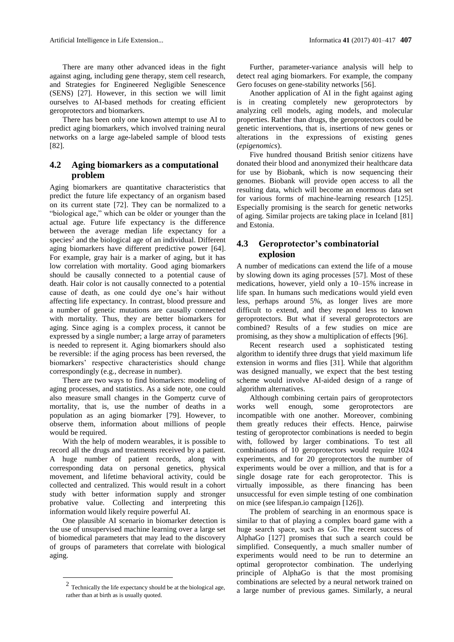Artificial Intelligence in Life Extension... Informatica **41** (2017) 401–417 **407**

There are many other advanced ideas in the fight against aging, including gene therapy, stem cell research, and Strategies for Engineered Negligible Senescence (SENS) [27]. However, in this section we will limit ourselves to AI-based methods for creating efficient geroprotectors and biomarkers.

There has been only one known attempt to use AI to predict aging biomarkers, which involved training neural networks on a large age-labeled sample of blood tests [82].

### **4.2 Aging biomarkers as a computational problem**

Aging biomarkers are quantitative characteristics that predict the future life expectancy of an organism based on its current state [72]. They can be normalized to a "biological age," which can be older or younger than the actual age. Future life expectancy is the difference between the average median life expectancy for a species<sup>2</sup> and the biological age of an individual. Different aging biomarkers have different predictive power [64]. For example, gray hair is a marker of aging, but it has low correlation with mortality. Good aging biomarkers should be causally connected to a potential cause of death. Hair color is not causally connected to a potential cause of death, as one could dye one's hair without affecting life expectancy. In contrast, blood pressure and a number of genetic mutations are causally connected with mortality. Thus, they are better biomarkers for aging. Since aging is a complex process, it cannot be expressed by a single number; a large array of parameters is needed to represent it. Aging biomarkers should also be reversible: if the aging process has been reversed, the biomarkers' respective characteristics should change correspondingly (e.g., decrease in number).

There are two ways to find biomarkers: modeling of aging processes, and statistics. As a side note, one could also measure small changes in the Gompertz curve of mortality, that is, use the number of deaths in a population as an aging biomarker [79]. However, to observe them, information about millions of people would be required.

With the help of modern wearables, it is possible to record all the drugs and treatments received by a patient. A huge number of patient records, along with corresponding data on personal genetics, physical movement, and lifetime behavioral activity, could be collected and centralized. This would result in a cohort study with better information supply and stronger probative value. Collecting and interpreting this information would likely require powerful AI.

One plausible AI scenario in biomarker detection is the use of unsupervised machine learning over a large set of biomedical parameters that may lead to the discovery of groups of parameters that correlate with biological aging.

-

Further, parameter-variance analysis will help to detect real aging biomarkers. For example, the company Gero focuses on gene-stability networks [56].

Another application of AI in the fight against aging is in creating completely new geroprotectors by analyzing cell models, aging models, and molecular properties. Rather than drugs, the geroprotectors could be genetic interventions, that is, insertions of new genes or alterations in the expressions of existing genes (*epigenomics*).

Five hundred thousand British senior citizens have donated their blood and anonymized their healthcare data for use by Biobank, which is now sequencing their genomes. Biobank will provide open access to all the resulting data, which will become an enormous data set for various forms of machine-learning research [125]. Especially promising is the search for genetic networks of aging. Similar projects are taking place in Iceland [81] and Estonia.

### **4.3 Geroprotector's combinatorial explosion**

A number of medications can extend the life of a mouse by slowing down its aging processes [57]. Most of these medications, however, yield only a 10–15% increase in life span. In humans such medications would yield even less, perhaps around 5%, as longer lives are more difficult to extend, and they respond less to known geroprotectors. But what if several geroprotectors are combined? Results of a few studies on mice are promising, as they show a multiplication of effects [96].

Recent research used a sophisticated testing algorithm to identify three drugs that yield maximum life extension in worms and flies [31]. While that algorithm was designed manually, we expect that the best testing scheme would involve AI-aided design of a range of algorithm alternatives.

Although combining certain pairs of geroprotectors works well enough, some geroprotectors incompatible with one another. Moreover, combining them greatly reduces their effects. Hence, pairwise testing of geroprotector combinations is needed to begin with, followed by larger combinations. To test all combinations of 10 geroprotectors would require 1024 experiments, and for 20 geroprotectors the number of experiments would be over a million, and that is for a single dosage rate for each geroprotector. This is virtually impossible, as there financing has been unsuccessful for even simple testing of one combination on mice (see lifespan.io campaign [126]).

The problem of searching in an enormous space is similar to that of playing a complex board game with a huge search space, such as Go. The recent success of AlphaGo [127] promises that such a search could be simplified. Consequently, a much smaller number of experiments would need to be run to determine an optimal geroprotector combination. The underlying principle of AlphaGo is that the most promising combinations are selected by a neural network trained on a large number of previous games. Similarly, a neural

<sup>2</sup> Technically the life expectancy should be at the biological age, rather than at birth as is usually quoted.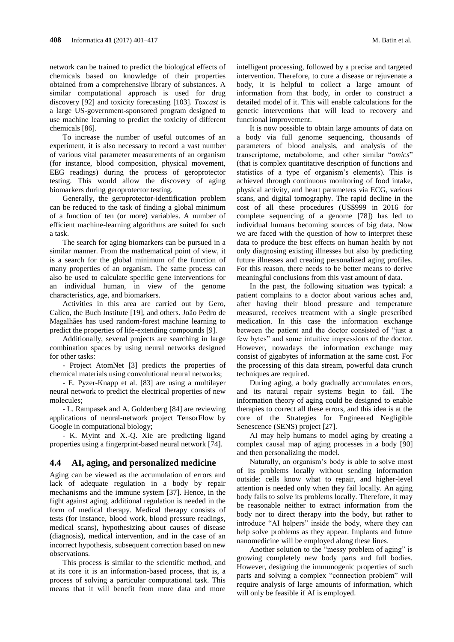network can be trained to predict the biological effects of chemicals based on knowledge of their properties obtained from a comprehensive library of substances. A similar computational approach is used for drug discovery [92] and toxicity forecasting [103]. *Toxcast* is a large US-government-sponsored program designed to use machine learning to predict the toxicity of different chemicals [86].

To increase the number of useful outcomes of an experiment, it is also necessary to record a vast number of various vital parameter measurements of an organism (for instance, blood composition, physical movement, EEG readings) during the process of geroprotector testing. This would allow the discovery of aging biomarkers during geroprotector testing.

Generally, the geroprotector-identification problem can be reduced to the task of finding a global minimum of a function of ten (or more) variables. A number of efficient machine-learning algorithms are suited for such a task.

The search for aging biomarkers can be pursued in a similar manner. From the mathematical point of view, it is a search for the global minimum of the function of many properties of an organism. The same process can also be used to calculate specific gene interventions for an individual human, in view of the genome characteristics, age, and biomarkers.

Activities in this area are carried out by Gero, Calico, the Buch Institute [19], and others. João Pedro de Magalhães has used random-forest machine learning to predict the properties of life-extending compounds [9].

Additionally, several projects are searching in large combination spaces by using neural networks designed for other tasks:

- Project AtomNet [3] predicts the properties of chemical materials using convolutional neural networks;

- E. Pyzer-Knapp et al. [83] are using a multilayer neural network to predict the electrical properties of new molecules;

- L. Rampasek and A. Goldenberg [84] are reviewing applications of neural-network project TensorFlow by Google in computational biology;

- K. Myint and X.-Q. Xie are predicting ligand properties using a fingerprint-based neural network [74].

#### **4.4 AI, aging, and personalized medicine**

Aging can be viewed as the accumulation of errors and lack of adequate regulation in a body by repair mechanisms and the immune system [37]. Hence, in the fight against aging, additional regulation is needed in the form of medical therapy. Medical therapy consists of tests (for instance, blood work, blood pressure readings, medical scans), hypothesizing about causes of disease (diagnosis), medical intervention, and in the case of an incorrect hypothesis, subsequent correction based on new observations.

This process is similar to the scientific method, and at its core it is an information-based process, that is, a process of solving a particular computational task. This means that it will benefit from more data and more

intelligent processing, followed by a precise and targeted intervention. Therefore, to cure a disease or rejuvenate a body, it is helpful to collect a large amount of information from that body, in order to construct a detailed model of it. This will enable calculations for the genetic interventions that will lead to recovery and functional improvement.

It is now possible to obtain large amounts of data on a body via full genome sequencing, thousands of parameters of blood analysis, and analysis of the transcriptome, metabolome, and other similar "*omics*" (that is complex quantitative description of functions and statistics of a type of organism's elements). This is achieved through continuous monitoring of food intake, physical activity, and heart parameters via ECG, various scans, and digital tomography. The rapid decline in the cost of all these procedures (US\$999 in 2016 for complete sequencing of a genome [78]) has led to individual humans becoming sources of big data. Now we are faced with the question of how to interpret these data to produce the best effects on human health by not only diagnosing existing illnesses but also by predicting future illnesses and creating personalized aging profiles. For this reason, there needs to be better means to derive meaningful conclusions from this vast amount of data.

In the past, the following situation was typical: a patient complains to a doctor about various aches and, after having their blood pressure and temperature measured, receives treatment with a single prescribed medication. In this case the information exchange between the patient and the doctor consisted of "just a few bytes" and some intuitive impressions of the doctor. However, nowadays the information exchange may consist of gigabytes of information at the same cost. For the processing of this data stream, powerful data crunch techniques are required.

During aging, a body gradually accumulates errors, and its natural repair systems begin to fail. The information theory of aging could be designed to enable therapies to correct all these errors, and this idea is at the core of the Strategies for Engineered Negligible Senescence (SENS) project [27].

AI may help humans to model aging by creating a complex causal map of aging processes in a body [90] and then personalizing the model.

Naturally, an organism's body is able to solve most of its problems locally without sending information outside: cells know what to repair, and higher-level attention is needed only when they fail locally. An aging body fails to solve its problems locally. Therefore, it may be reasonable neither to extract information from the body nor to direct therapy into the body, but rather to introduce "AI helpers" inside the body, where they can help solve problems as they appear. Implants and future nanomedicine will be employed along these lines.

Another solution to the "messy problem of aging" is growing completely new body parts and full bodies. However, designing the immunogenic properties of such parts and solving a complex "connection problem" will require analysis of large amounts of information, which will only be feasible if AI is employed.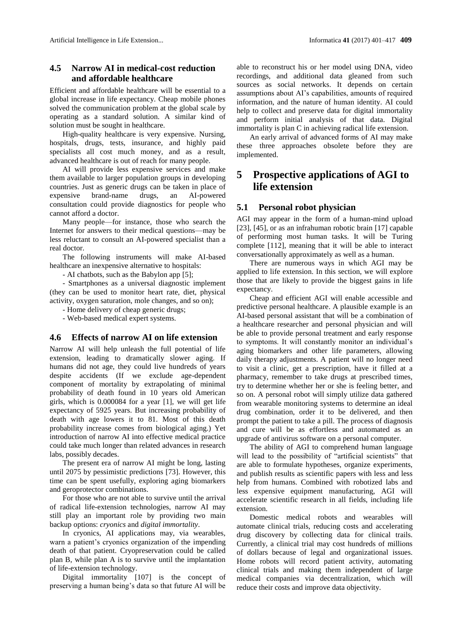### **4.5 Narrow AI in medical-cost reduction and affordable healthcare**

Efficient and affordable healthcare will be essential to a global increase in life expectancy. Cheap mobile phones solved the communication problem at the global scale by operating as a standard solution. A similar kind of solution must be sought in healthcare.

High-quality healthcare is very expensive. Nursing, hospitals, drugs, tests, insurance, and highly paid specialists all cost much money, and as a result, advanced healthcare is out of reach for many people.

AI will provide less expensive services and make them available to larger population groups in developing countries. Just as generic drugs can be taken in place of expensive brand-name drugs, an AI-powered consultation could provide diagnostics for people who cannot afford a doctor.

Many people—for instance, those who search the Internet for answers to their medical questions—may be less reluctant to consult an AI-powered specialist than a real doctor.

The following instruments will make AI-based healthcare an inexpensive alternative to hospitals:

- AI chatbots, such as the Babylon app [5];

- Smartphones as a universal diagnostic implement (they can be used to monitor heart rate, diet, physical activity, oxygen saturation, mole changes, and so on);

- Home delivery of cheap generic drugs;

- Web-based medical expert systems.

#### **4.6 Effects of narrow AI on life extension**

Narrow AI will help unleash the full potential of life extension, leading to dramatically slower aging. If humans did not age, they could live hundreds of years despite accidents (If we exclude age-dependent component of mortality by extrapolating of minimal probability of death found in 10 years old American girls, which is 0.000084 for a year [1], we will get life expectancy of 5925 years. But increasing probability of death with age lowers it to 81. Most of this death probability increase comes from biological aging.) Yet introduction of narrow AI into effective medical practice could take much longer than related advances in research labs, possibly decades.

The present era of narrow AI might be long, lasting until 2075 by pessimistic predictions [73]. However, this time can be spent usefully, exploring aging biomarkers and geroprotector combinations.

For those who are not able to survive until the arrival of radical life-extension technologies, narrow AI may still play an important role by providing two main backup options: *cryonics* and *digital immortality*.

In cryonics, AI applications may, via wearables, warn a patient's cryonics organization of the impending death of that patient. Cryopreservation could be called plan B, while plan A is to survive until the implantation of life-extension technology.

Digital immortality [107] is the concept of preserving a human being's data so that future AI will be

able to reconstruct his or her model using DNA, video recordings, and additional data gleaned from such sources as social networks. It depends on certain assumptions about AI's capabilities, amounts of required information, and the nature of human identity. AI could help to collect and preserve data for digital immortality and perform initial analysis of that data. Digital immortality is plan C in achieving radical life extension.

An early arrival of advanced forms of AI may make these three approaches obsolete before they are implemented.

## **5 Prospective applications of AGI to life extension**

#### **5.1 Personal robot physician**

AGI may appear in the form of a human-mind upload [23], [45], or as an infrahuman robotic brain [17] capable of performing most human tasks. It will be Turing complete [112], meaning that it will be able to interact conversationally approximately as well as a human.

There are numerous ways in which AGI may be applied to life extension. In this section, we will explore those that are likely to provide the biggest gains in life expectancy.

Cheap and efficient AGI will enable accessible and predictive personal healthcare. A plausible example is an AI-based personal assistant that will be a combination of a healthcare researcher and personal physician and will be able to provide personal treatment and early response to symptoms. It will constantly monitor an individual's aging biomarkers and other life parameters, allowing daily therapy adjustments. A patient will no longer need to visit a clinic, get a prescription, have it filled at a pharmacy, remember to take drugs at prescribed times, try to determine whether her or she is feeling better, and so on. A personal robot will simply utilize data gathered from wearable monitoring systems to determine an ideal drug combination, order it to be delivered, and then prompt the patient to take a pill. The process of diagnosis and cure will be as effortless and automated as an upgrade of antivirus software on a personal computer.

The ability of AGI to comprehend human language will lead to the possibility of "artificial scientists" that are able to formulate hypotheses, organize experiments, and publish results as scientific papers with less and less help from humans. Combined with robotized labs and less expensive equipment manufacturing, AGI will accelerate scientific research in all fields, including life extension.

Domestic medical robots and wearables will automate clinical trials, reducing costs and accelerating drug discovery by collecting data for clinical trails. Currently, a clinical trial may cost hundreds of millions of dollars because of legal and organizational issues. Home robots will record patient activity, automating clinical trials and making them independent of large medical companies via decentralization, which will reduce their costs and improve data objectivity.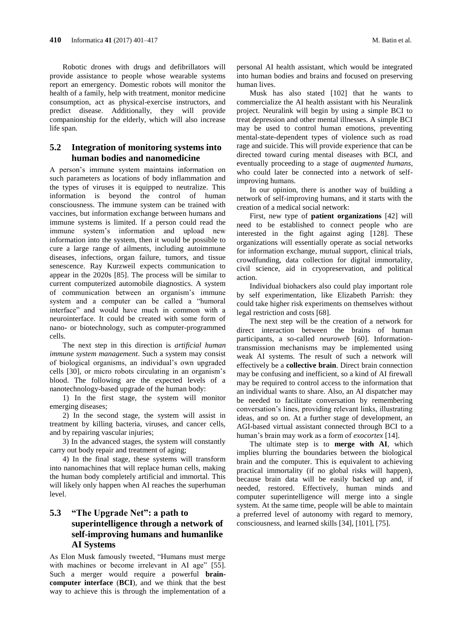Robotic drones with drugs and defibrillators will provide assistance to people whose wearable systems report an emergency. Domestic robots will monitor the health of a family, help with treatment, monitor medicine consumption, act as physical-exercise instructors, and predict disease. Additionally, they will provide companionship for the elderly, which will also increase life span.

### **5.2 Integration of monitoring systems into human bodies and nanomedicine**

A person's immune system maintains information on such parameters as locations of body inflammation and the types of viruses it is equipped to neutralize. This information is beyond the control of human consciousness. The immune system can be trained with vaccines, but information exchange between humans and immune systems is limited. If a person could read the immune system's information and upload new information into the system, then it would be possible to cure a large range of ailments, including autoimmune diseases, infections, organ failure, tumors, and tissue senescence. Ray Kurzweil expects communication to appear in the 2020s [85]. The process will be similar to current computerized automobile diagnostics. A system of communication between an organism's immune system and a computer can be called a "humoral interface" and would have much in common with a neurointerface. It could be created with some form of nano- or biotechnology, such as computer-programmed cells.

The next step in this direction is *artificial human immune system management*. Such a system may consist of biological organisms, an individual's own upgraded cells [30], or micro robots circulating in an organism's blood. The following are the expected levels of a nanotechnology-based upgrade of the human body:

1) In the first stage, the system will monitor emerging diseases;

2) In the second stage, the system will assist in treatment by killing bacteria, viruses, and cancer cells, and by repairing vascular injuries;

3) In the advanced stages, the system will constantly carry out body repair and treatment of aging;

4) In the final stage, these systems will transform into nanomachines that will replace human cells, making the human body completely artificial and immortal. This will likely only happen when AI reaches the superhuman level.

## **5.3 "The Upgrade Net": a path to superintelligence through a network of self-improving humans and humanlike AI Systems**

As Elon Musk famously tweeted, "Humans must merge with machines or become irrelevant in AI age" [55]. Such a merger would require a powerful **braincomputer interface** (**BCI**), and we think that the best way to achieve this is through the implementation of a personal AI health assistant, which would be integrated into human bodies and brains and focused on preserving human lives.

Musk has also stated [102] that he wants to commercialize the AI health assistant with his Neuralink project. Neuralink will begin by using a simple BCI to treat depression and other mental illnesses. A simple BCI may be used to control human emotions, preventing mental-state-dependent types of violence such as road rage and suicide. This will provide experience that can be directed toward curing mental diseases with BCI, and eventually proceeding to a stage of *augmented humans*, who could later be connected into a network of selfimproving humans.

In our opinion, there is another way of building a network of self-improving humans, and it starts with the creation of a medical social network:

First, new type of **patient organizations** [42] will need to be established to connect people who are interested in the fight against aging [128]. These organizations will essentially operate as social networks for information exchange, mutual support, clinical trials, crowdfunding, data collection for digital immortality, civil science, aid in cryopreservation, and political action.

Individual biohackers also could play important role by self experimentation, like Elizabeth Parrish: they could take higher risk experiments on themselves without legal restriction and costs [68].

The next step will be the creation of a network for direct interaction between the brains of human participants, a so-called *neuroweb* [60]. Informationtransmission mechanisms may be implemented using weak AI systems. The result of such a network will effectively be a **collective brain**. Direct brain connection may be confusing and inefficient, so a kind of AI firewall may be required to control access to the information that an individual wants to share. Also, an AI dispatcher may be needed to facilitate conversation by remembering conversation's lines, providing relevant links, illustrating ideas, and so on. At a further stage of development, an AGI-based virtual assistant connected through BCI to a human's brain may work as a form of *exocortex* [14].

The ultimate step is to **merge with AI**, which implies blurring the boundaries between the biological brain and the computer. This is equivalent to achieving practical immortality (if no global risks will happen), because brain data will be easily backed up and, if needed, restored. Effectively, human minds and computer superintelligence will merge into a single system. At the same time, people will be able to maintain a preferred level of autonomy with regard to memory, consciousness, and learned skills [34], [101], [75].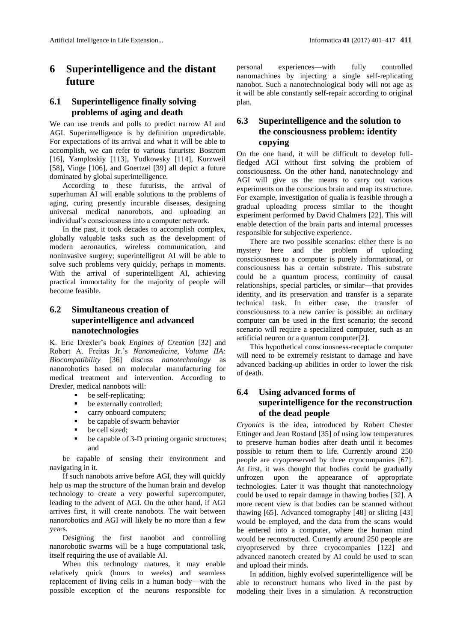## **6 Superintelligence and the distant future**

### **6.1 Superintelligence finally solving problems of aging and death**

We can use trends and polls to predict narrow AI and AGI. Superintelligence is by definition unpredictable. For expectations of its arrival and what it will be able to accomplish, we can refer to various futurists: Bostrom [16], Yamploskiy [113], Yudkowsky [114], Kurzweil [58], Vinge [106], and Goertzel [39] all depict a future dominated by global superintelligence.

According to these futurists, the arrival of superhuman AI will enable solutions to the problems of aging, curing presently incurable diseases, designing universal medical nanorobots, and uploading an individual's consciousness into a computer network.

In the past, it took decades to accomplish complex, globally valuable tasks such as the development of modern aeronautics, wireless communication, and noninvasive surgery; superintelligent AI will be able to solve such problems very quickly, perhaps in moments. With the arrival of superintelligent AI, achieving practical immortality for the majority of people will become feasible.

## **6.2 Simultaneous creation of superintelligence and advanced nanotechnologies**

K. Eric Drexler's book *Engines of Creation* [32] and Robert A. Freitas Jr.'s *Nanomedicine, Volume IIA: Biocompatibility* [36] discuss *nanotechnology* as nanorobotics based on molecular manufacturing for medical treatment and intervention. According to Drexler, medical nanobots will:

- **•** be self-replicating;
- be externally controlled;
- **carry onboard computers;**
- be capable of swarm behavior
- be cell sized;
- be capable of 3-D printing organic structures; and

be capable of sensing their environment and navigating in it.

If such nanobots arrive before AGI, they will quickly help us map the structure of the human brain and develop technology to create a very powerful supercomputer, leading to the advent of AGI. On the other hand, if AGI arrives first, it will create nanobots. The wait between nanorobotics and AGI will likely be no more than a few years.

Designing the first nanobot and controlling nanorobotic swarms will be a huge computational task, itself requiring the use of available AI.

When this technology matures, it may enable relatively quick (hours to weeks) and seamless replacement of living cells in a human body—with the possible exception of the neurons responsible for

personal experiences—with fully controlled nanomachines by injecting a single self-replicating nanobot. Such a nanotechnological body will not age as it will be able constantly self-repair according to original plan.

## **6.3 Superintelligence and the solution to the consciousness problem: identity copying**

On the one hand, it will be difficult to develop fullfledged AGI without first solving the problem of consciousness. On the other hand, nanotechnology and AGI will give us the means to carry out various experiments on the conscious brain and map its structure. For example, investigation of qualia is feasible through a gradual uploading process similar to the thought experiment performed by David Chalmers [22]. This will enable detection of the brain parts and internal processes responsible for subjective experience.

There are two possible scenarios: either there is no mystery here and the problem of uploading consciousness to a computer is purely informational, or consciousness has a certain substrate. This substrate could be a quantum process, continuity of causal relationships, special particles, or similar—that provides identity, and its preservation and transfer is a separate technical task. In either case, the transfer of consciousness to a new carrier is possible: an ordinary computer can be used in the first scenario; the second scenario will require a specialized computer, such as an artificial neuron or a quantum computer[2].

This hypothetical consciousness-receptacle computer will need to be extremely resistant to damage and have advanced backing-up abilities in order to lower the risk of death.

## **6.4 Using advanced forms of superintelligence for the reconstruction of the dead people**

*Cryonics* is the idea, introduced by Robert Chester Ettinger and Jean Rostand [35] of using low temperatures to preserve human bodies after death until it becomes possible to return them to life. Currently around 250 people are cryopreserved by three cryocompanies [67]. At first, it was thought that bodies could be gradually unfrozen upon the appearance of appropriate technologies. Later it was thought that nanotechnology could be used to repair damage in thawing bodies [32]. A more recent view is that bodies can be scanned without thawing [65]. Advanced tomography [48] or slicing [43] would be employed, and the data from the scans would be entered into a computer, where the human mind would be reconstructed. Currently around 250 people are cryopreserved by three cryocompanies [122] and advanced nanotech created by AI could be used to scan and upload their minds.

In addition, highly evolved superintelligence will be able to reconstruct humans who lived in the past by modeling their lives in a simulation. A reconstruction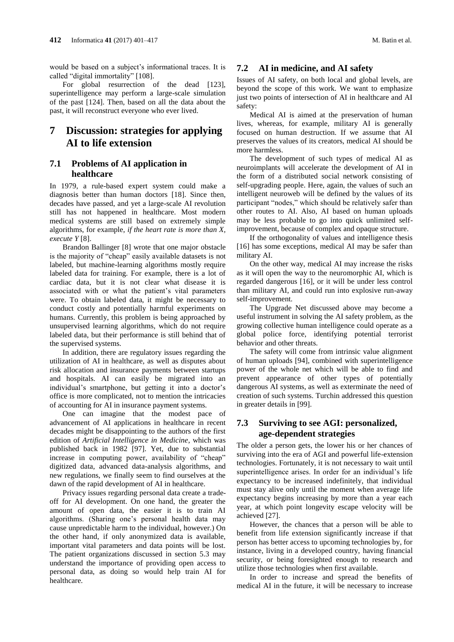would be based on a subject's informational traces. It is called "digital immortality" [108].

For global resurrection of the dead [123], superintelligence may perform a large-scale simulation of the past [124]. Then, based on all the data about the past, it will reconstruct everyone who ever lived.

## **7 Discussion: strategies for applying AI to life extension**

### **7.1 Problems of AI application in healthcare**

In 1979, a rule-based expert system could make a diagnosis better than human doctors [18]. Since then, decades have passed, and yet a large-scale AI revolution still has not happened in healthcare. Most modern medical systems are still based on extremely simple algorithms, for example, *if the heart rate is more than X, execute Y* [8].

Brandon Ballinger [8] wrote that one major obstacle is the majority of "cheap" easily available datasets is not labeled, but machine-learning algorithms mostly require labeled data for training. For example, there is a lot of cardiac data, but it is not clear what disease it is associated with or what the patient's vital parameters were. To obtain labeled data, it might be necessary to conduct costly and potentially harmful experiments on humans. Currently, this problem is being approached by unsupervised learning algorithms, which do not require labeled data, but their performance is still behind that of the supervised systems.

In addition, there are regulatory issues regarding the utilization of AI in healthcare, as well as disputes about risk allocation and insurance payments between startups and hospitals. AI can easily be migrated into an individual's smartphone, but getting it into a doctor's office is more complicated, not to mention the intricacies of accounting for AI in insurance payment systems.

One can imagine that the modest pace of advancement of AI applications in healthcare in recent decades might be disappointing to the authors of the first edition of *Artificial Intelligence in Medicine*, which was published back in 1982 [97]. Yet, due to substantial increase in computing power, availability of "cheap" digitized data, advanced data-analysis algorithms, and new regulations, we finally seem to find ourselves at the dawn of the rapid development of AI in healthcare.

Privacy issues regarding personal data create a tradeoff for AI development. On one hand, the greater the amount of open data, the easier it is to train AI algorithms. (Sharing one's personal health data may cause unpredictable harm to the individual, however.) On the other hand, if only anonymized data is available, important vital parameters and data points will be lost. The patient organizations discussed in section 5.3 may understand the importance of providing open access to personal data, as doing so would help train AI for healthcare.

#### **7.2 AI in medicine, and AI safety**

Issues of AI safety, on both local and global levels, are beyond the scope of this work. We want to emphasize just two points of intersection of AI in healthcare and AI safety:

Medical AI is aimed at the preservation of human lives, whereas, for example, military AI is generally focused on human destruction. If we assume that AI preserves the values of its creators, medical AI should be more harmless.

The development of such types of medical AI as neuroimplants will accelerate the development of AI in the form of a distributed social network consisting of self-upgrading people. Here, again, the values of such an intelligent neuroweb will be defined by the values of its participant "nodes," which should be relatively safer than other routes to AI. Also, AI based on human uploads may be less probable to go into quick unlimited selfimprovement, because of complex and opaque structure.

If the orthogonality of values and intelligence thesis [16] has some exceptions, medical AI may be safer than military AI.

On the other way, medical AI may increase the risks as it will open the way to the neuromorphic AI, which is regarded dangerous [16], or it will be under less control than military AI, and could run into explosive run-away self-improvement.

The Upgrade Net discussed above may become a useful instrument in solving the AI safety problem, as the growing collective human intelligence could operate as a global police force, identifying potential terrorist behavior and other threats.

The safety will come from intrinsic value alignment of human uploads [94], combined with superintelligence power of the whole net which will be able to find and prevent appearance of other types of potentially dangerous AI systems, as well as exterminate the need of creation of such systems. Turchin addressed this question in greater details in [99].

### **7.3 Surviving to see AGI: personalized, age-dependent strategies**

The older a person gets, the lower his or her chances of surviving into the era of AGI and powerful life-extension technologies. Fortunately, it is not necessary to wait until superintelligence arises. In order for an individual's life expectancy to be increased indefinitely, that individual must stay alive only until the moment when average life expectancy begins increasing by more than a year each year, at which point longevity escape velocity will be achieved [27].

However, the chances that a person will be able to benefit from life extension significantly increase if that person has better access to upcoming technologies by, for instance, living in a developed country, having financial security, or being foresighted enough to research and utilize those technologies when first available.

In order to increase and spread the benefits of medical AI in the future, it will be necessary to increase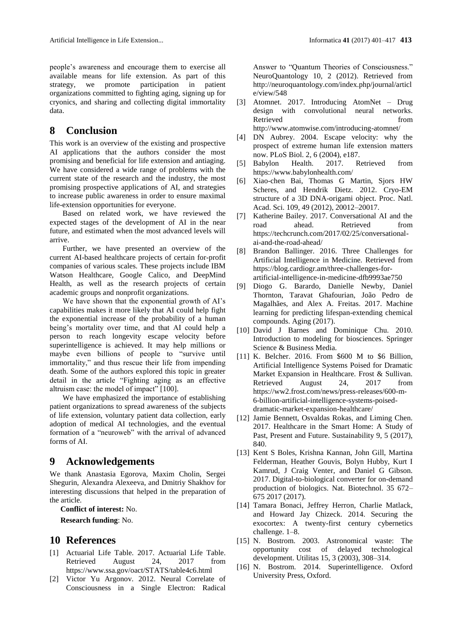people's awareness and encourage them to exercise all available means for life extension. As part of this strategy, we promote participation in patient organizations committed to fighting aging, signing up for cryonics, and sharing and collecting digital immortality data.

## **8 Conclusion**

This work is an overview of the existing and prospective AI applications that the authors consider the most promising and beneficial for life extension and antiaging. We have considered a wide range of problems with the current state of the research and the industry, the most promising prospective applications of AI, and strategies to increase public awareness in order to ensure maximal life-extension opportunities for everyone.

Based on related work, we have reviewed the expected stages of the development of AI in the near future, and estimated when the most advanced levels will arrive.

Further, we have presented an overview of the current AI-based healthcare projects of certain for-profit companies of various scales. These projects include IBM Watson Healthcare, Google Calico, and DeepMind Health, as well as the research projects of certain academic groups and nonprofit organizations.

We have shown that the exponential growth of AI's capabilities makes it more likely that AI could help fight the exponential increase of the probability of a human being's mortality over time, and that AI could help a person to reach longevity escape velocity before superintelligence is achieved. It may help millions or maybe even billions of people to "survive until immortality," and thus rescue their life from impending death. Some of the authors explored this topic in greater detail in the article "Fighting aging as an effective altruism case: the model of impact" [100].

We have emphasized the importance of establishing patient organizations to spread awareness of the subjects of life extension, voluntary patient data collection, early adoption of medical AI technologies, and the eventual formation of a "neuroweb" with the arrival of advanced forms of AI.

## **9 Acknowledgements**

We thank Anastasia Egorova, Maxim Cholin, Sergei Shegurin, Alexandra Alexeeva, and Dmitriy Shakhov for interesting discussions that helped in the preparation of the article.

**Conflict of interest:** No.

**Research funding**: No.

### **10 References**

- [1] Actuarial Life Table. 2017. Actuarial Life Table. Retrieved August 24, 2017 from https://www.ssa.gov/oact/STATS/table4c6.html
- [2] Victor Yu Argonov. 2012. Neural Correlate of Consciousness in a Single Electron: Radical

Answer to "Quantum Theories of Consciousness." NeuroQuantology 10, 2 (2012). Retrieved from http://neuroquantology.com/index.php/journal/articl e/view/548

- [3] Atomnet. 2017. Introducing AtomNet Drug design with convolutional neural networks. Retrieved from the state of  $\sim$ http://www.atomwise.com/introducing-atomnet/
- [4] DN Aubrey. 2004. Escape velocity: why the prospect of extreme human life extension matters now. PLoS Biol. 2, 6 (2004), e187.
- [5] Babylon Health. 2017. Retrieved from https://www.babylonhealth.com/
- [6] Xiao-chen Bai, Thomas G Martin, Sjors HW Scheres, and Hendrik Dietz. 2012. Cryo-EM structure of a 3D DNA-origami object. Proc. Natl. Acad. Sci. 109, 49 (2012), 20012–20017.
- Katherine Bailey. 2017. Conversational AI and the road ahead. Retrieved from https://techcrunch.com/2017/02/25/conversationalai-and-the-road-ahead/
- [8] Brandon Ballinger. 2016. Three Challenges for Artificial Intelligence in Medicine. Retrieved from https://blog.cardiogr.am/three-challenges-forartificial-intelligence-in-medicine-dfb9993ae750
- [9] Diogo G. Barardo, Danielle Newby, Daniel Thornton, Taravat Ghafourian, João Pedro de Magalhães, and Alex A. Freitas. 2017. Machine learning for predicting lifespan-extending chemical compounds. Aging (2017).
- [10] David J Barnes and Dominique Chu. 2010. Introduction to modeling for biosciences. Springer Science & Business Media.
- [11] K. Belcher. 2016. From \$600 M to \$6 Billion, Artificial Intelligence Systems Poised for Dramatic Market Expansion in Healthcare. Frost & Sullivan. Retrieved August 24, 2017 from https://ww2.frost.com/news/press-releases/600-m-6-billion-artificial-intelligence-systems-poiseddramatic-market-expansion-healthcare/
- [12] Jamie Bennett, Osvaldas Rokas, and Liming Chen. 2017. Healthcare in the Smart Home: A Study of Past, Present and Future. Sustainability 9, 5 (2017), 840.
- [13] Kent S Boles, Krishna Kannan, John Gill, Martina Felderman, Heather Gouvis, Bolyn Hubby, Kurt I Kamrud, J Craig Venter, and Daniel G Gibson. 2017. Digital-to-biological converter for on-demand production of biologics. Nat. Biotechnol. 35 672– 675 2017 (2017).
- [14] Tamara Bonaci, Jeffrey Herron, Charlie Matlack, and Howard Jay Chizeck. 2014. Securing the exocortex: A twenty-first century cybernetics challenge. 1–8.
- [15] N. Bostrom. 2003. Astronomical waste: The opportunity cost of delayed technological development. Utilitas 15, 3 (2003), 308–314.
- [16] N. Bostrom. 2014. Superintelligence. Oxford University Press, Oxford.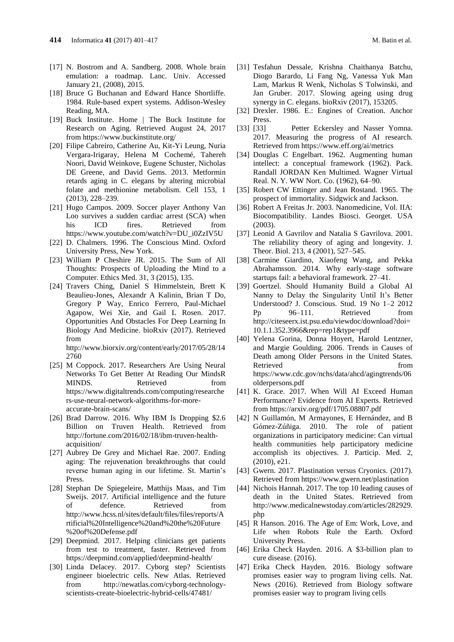- [17] N. Bostrom and A. Sandberg. 2008. Whole brain emulation: a roadmap. Lanc. Univ. Accessed January 21, (2008), 2015.
- [18] Bruce G Buchanan and Edward Hance Shortliffe. 1984. Rule-based expert systems. Addison-Wesley Reading, MA.
- [19] Buck Institute. Home | The Buck Institute for Research on Aging. Retrieved August 24, 2017 from https://www.buckinstitute.org/
- [20] Filipe Cabreiro, Catherine Au, Kit-Yi Leung, Nuria Vergara-Irigaray, Helena M Cochemé, Tahereh Noori, David Weinkove, Eugene Schuster, Nicholas DE Greene, and David Gems. 2013. Metformin retards aging in C. elegans by altering microbial folate and methionine metabolism. Cell 153, 1 (2013), 228–239.
- [21] Hugo Campos. 2009. Soccer player Anthony Van Loo survives a sudden cardiac arrest (SCA) when his ICD fires. Retrieved from https://www.youtube.com/watch?v=DU\_i0ZzIV5U
- [22] D. Chalmers. 1996. The Conscious Mind. Oxford University Press, New York.
- [23] William P Cheshire JR. 2015. The Sum of All Thoughts: Prospects of Uploading the Mind to a Computer. Ethics Med. 31, 3 (2015), 135.
- [24] Travers Ching, Daniel S Himmelstein, Brett K Beaulieu-Jones, Alexandr A Kalinin, Brian T Do, Gregory P Way, Enrico Ferrero, Paul-Michael Agapow, Wei Xie, and Gail L Rosen. 2017. Opportunities And Obstacles For Deep Learning In Biology And Medicine. bioRxiv (2017). Retrieved from

http://www.biorxiv.org/content/early/2017/05/28/14 2760

- [25] M Coppock. 2017. Researchers Are Using Neural Networks To Get Better At Reading Our MindsR MINDS. Retrieved from https://www.digitaltrends.com/computing/researche rs-use-neural-network-algorithms-for-moreaccurate-brain-scans/
- [26] Brad Darrow. 2016. Why IBM Is Dropping \$2.6 Billion on Truven Health. Retrieved from http://fortune.com/2016/02/18/ibm-truven-healthacquisition/
- [27] Aubrey De Grey and Michael Rae. 2007. Ending aging: The rejuvenation breakthroughs that could reverse human aging in our lifetime. St. Martin's Press.
- [28] Stephan De Spiegeleire, Matthijs Maas, and Tim Sweijs. 2017. Artificial intelligence and the future of defence. Retrieved from http://www.hcss.nl/sites/default/files/files/reports/A rtificial%20Intelligence%20and%20the%20Future %20of%20Defense.pdf
- [29] Deepmind. 2017. Helping clinicians get patients from test to treatment, faster. Retrieved from https://deepmind.com/applied/deepmind-health/
- [30] Linda Delacey. 2017. Cyborg step? Scientists engineer bioelectric cells. New Atlas. Retrieved from http://newatlas.com/cyborg-technologyscientists-create-bioelectric-hybrid-cells/47481/
- [31] Tesfahun Dessale, Krishna Chaithanya Batchu, Diogo Barardo, Li Fang Ng, Vanessa Yuk Man Lam, Markus R Wenk, Nicholas S Tolwinski, and Jan Gruber. 2017. Slowing ageing using drug synergy in C. elegans. bioRxiv (2017), 153205.
- [32] Drexler. 1986. E.: Engines of Creation. Anchor Press.
- [33] [33] Petter Eckersley and Nasser Yomna. 2017. Measuring the progress of AI research. Retrieved from https://www.eff.org/ai/metrics
- [34] Douglas C Engelbart. 1962. Augmenting human intellect: a conceptual framework (1962). Pack. Randall JORDAN Ken Multimed. Wagner Virtual Real. N. Y. WW Nort. Co. (1962), 64–90.
- [35] Robert CW Ettinger and Jean Rostand. 1965. The prospect of immortality. Sidgwick and Jackson.
- [36] Robert A Freitas Jr. 2003. Nanomedicine, Vol. IIA: Biocompatibility. Landes Biosci. Georget. USA  $(2003)$
- [37] Leonid A Gavrilov and Natalia S Gavrilova. 2001. The reliability theory of aging and longevity. J. Theor. Biol. 213, 4 (2001), 527–545.
- [38] Carmine Giardino, Xiaofeng Wang, and Pekka Abrahamsson. 2014. Why early-stage software startups fail: a behavioral framework. 27–41.
- [39] Goertzel. Should Humanity Build a Global AI Nanny to Delay the Singularity Until It's Better Understood? J. Conscious. Stud. 19 No 1–2 2012 Pp 96–111. Retrieved from http://citeseerx.ist.psu.edu/viewdoc/download?doi= 10.1.1.352.3966&rep=rep1&type=pdf
- [40] Yelena Gorina, Donna Hoyert, Harold Lentzner, and Margie Goulding. 2006. Trends in Causes of Death among Older Persons in the United States. Retrieved from the state of  $\sim$ https://www.cdc.gov/nchs/data/ahcd/agingtrends/06 olderpersons.pdf
- [41] K. Grace. 2017. When Will AI Exceed Human Performance? Evidence from AI Experts. Retrieved from https://arxiv.org/pdf/1705.08807.pdf
- [42] N Guillamón, M Armayones, E Hernández, and B Gómez-Zúñiga. 2010. The role of patient organizations in participatory medicine: Can virtual health communities help participatory medicine accomplish its objectives. J. Particip. Med. 2, (2010), e21.
- [43] Gwern. 2017. Plastination versus Cryonics. (2017). Retrieved from https://www.gwern.net/plastination
- [44] Nichois Hannah. 2017. The top 10 leading causes of death in the United States. Retrieved from http://www.medicalnewstoday.com/articles/282929. php
- [45] R Hanson. 2016. The Age of Em: Work, Love, and Life when Robots Rule the Earth. Oxford University Press.
- [46] Erika Check Hayden. 2016. A \$3-billion plan to cure disease. (2016).
- [47] Erika Check Hayden. 2016. Biology software promises easier way to program living cells. Nat. News (2016). Retrieved from Biology software promises easier way to program living cells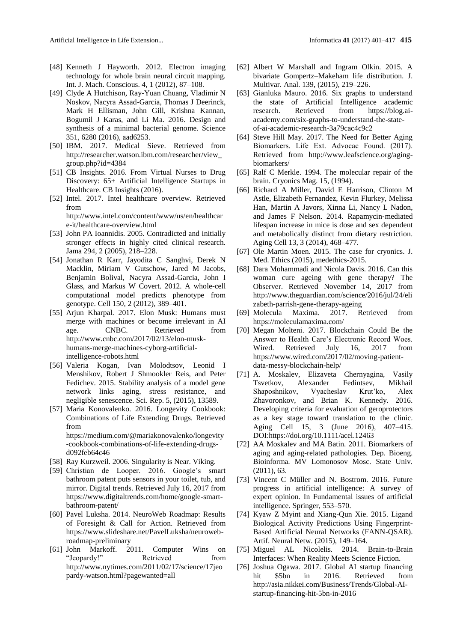- [48] Kenneth J Hayworth. 2012. Electron imaging technology for whole brain neural circuit mapping. Int. J. Mach. Conscious. 4, 1 (2012), 87–108.
- [49] Clyde A Hutchison, Ray-Yuan Chuang, Vladimir N Noskov, Nacyra Assad-Garcia, Thomas J Deerinck, Mark H Ellisman, John Gill, Krishna Kannan, Bogumil J Karas, and Li Ma. 2016. Design and synthesis of a minimal bacterial genome. Science 351, 6280 (2016), aad6253.
- [50] IBM. 2017. Medical Sieve. Retrieved from http://researcher.watson.ibm.com/researcher/view\_ group.php?id=4384
- [51] CB Insights. 2016. From Virtual Nurses to Drug Discovery: 65+ Artificial Intelligence Startups in Healthcare. CB Insights (2016).
- [52] Intel. 2017. Intel healthcare overview. Retrieved from http://www.intel.com/content/www/us/en/healthcar

e-it/healthcare-overview.html

- [53] John PA Ioannidis. 2005. Contradicted and initially stronger effects in highly cited clinical research. Jama 294, 2 (2005), 218–228.
- [54] Jonathan R Karr, Jayodita C Sanghvi, Derek N Macklin, Miriam V Gutschow, Jared M Jacobs, Benjamin Bolival, Nacyra Assad-Garcia, John I Glass, and Markus W Covert. 2012. A whole-cell computational model predicts phenotype from genotype. Cell 150, 2 (2012), 389–401.
- [55] Arjun Kharpal. 2017. Elon Musk: Humans must merge with machines or become irrelevant in AI age. CNBC. Retrieved from http://www.cnbc.com/2017/02/13/elon-muskhumans-merge-machines-cyborg-artificialintelligence-robots.html
- [56] Valeria Kogan, Ivan Molodtsov, Leonid I Menshikov, Robert J Shmookler Reis, and Peter Fedichev. 2015. Stability analysis of a model gene network links aging, stress resistance, and negligible senescence. Sci. Rep. 5, (2015), 13589.
- [57] Maria Konovalenko. 2016. Longevity Cookbook: Combinations of Life Extending Drugs. Retrieved from https://medium.com/@mariakonovalenko/longevity -cookbook-combinations-of-life-extending-drugsd092feb64c46
- [58] Ray Kurzweil. 2006. Singularity is Near. Viking.
- [59] Christian de Looper. 2016. Google's smart bathroom patent puts sensors in your toilet, tub, and mirror. Digital trends. Retrieved July 16, 2017 from https://www.digitaltrends.com/home/google-smartbathroom-patent/
- [60] Pavel Luksha. 2014. NeuroWeb Roadmap: Results of Foresight & Call for Action. Retrieved from https://www.slideshare.net/PavelLuksha/neurowebroadmap-preliminary
- [61] John Markoff. 2011. Computer Wins on "Jeopardy!" Retrieved from http://www.nytimes.com/2011/02/17/science/17jeo pardy-watson.html?pagewanted=all
- [62] Albert W Marshall and Ingram Olkin. 2015. A bivariate Gompertz–Makeham life distribution. J. Multivar. Anal. 139, (2015), 219–226.
- [63] Gianluka Mauro. 2016. Six graphs to understand the state of Artificial Intelligence academic research. Retrieved from https://blog.aiacademy.com/six-graphs-to-understand-the-stateof-ai-academic-research-3a79cac4c9c2
- [64] Steve Hill May. 2017. The Need for Better Aging Biomarkers. Life Ext. Advocaс Found. (2017). Retrieved from http://www.leafscience.org/agingbiomarkers/
- [65] Ralf C Merkle. 1994. The molecular repair of the brain. Cryonics Mag. 15, (1994).
- [66] Richard A Miller, David E Harrison, Clinton M Astle, Elizabeth Fernandez, Kevin Flurkey, Melissa Han, Martin A Javors, Xinna Li, Nancy L Nadon, and James F Nelson. 2014. Rapamycin‐mediated lifespan increase in mice is dose and sex dependent and metabolically distinct from dietary restriction. Aging Cell 13, 3 (2014), 468–477.
- [67] Ole Martin Moen. 2015. The case for cryonics. J. Med. Ethics (2015), medethics-2015.
- [68] Dara Mohammadi and Nicola Davis. 2016. Can this woman cure ageing with gene therapy? The Observer. Retrieved November 14, 2017 from http://www.theguardian.com/science/2016/jul/24/eli zabeth-parrish-gene-therapy-ageing
- [69] Molecula Maxima. 2017. Retrieved from https://moleculamaxima.com/
- [70] Megan Molteni. 2017. Blockchain Could Be the Answer to Health Care's Electronic Record Woes. Wired. Retrieved July 16, 2017 from https://www.wired.com/2017/02/moving-patientdata-messy-blockchain-help/
- [71] A. Moskalev, Elizaveta Chernyagina, Vasily Tsvetkov, Alexander Fedintsev, Mikhail Shaposhnikov, Vyacheslav Krut'ko, Alex Zhavoronkov, and Brian K. Kennedy. 2016. Developing criteria for evaluation of geroprotectors as a key stage toward translation to the clinic. Aging Cell 15, 3 (June 2016), 407–415. DOI:https://doi.org/10.1111/acel.12463
- [72] AA Moskalev and MA Batin. 2011. Biomarkers of aging and aging-related pathologies. Dep. Bioeng. Bioinforma. MV Lomonosov Mosc. State Univ. (2011), 63.
- [73] Vincent C Müller and N. Bostrom. 2016. Future progress in artificial intelligence: A survey of expert opinion. In Fundamental issues of artificial intelligence. Springer, 553–570.
- [74] Kyaw Z Myint and Xiang-Qun Xie. 2015. Ligand Biological Activity Predictions Using Fingerprint-Based Artificial Neural Networks (FANN-QSAR). Artif. Neural Netw. (2015), 149–164.
- [75] Miguel AL Nicolelis. 2014. Brain-to-Brain Interfaces: When Reality Meets Science Fiction.
- [76] Joshua Ogawa. 2017. Global AI startup financing hit \$5bn in 2016. Retrieved from http://asia.nikkei.com/Business/Trends/Global-AIstartup-financing-hit-5bn-in-2016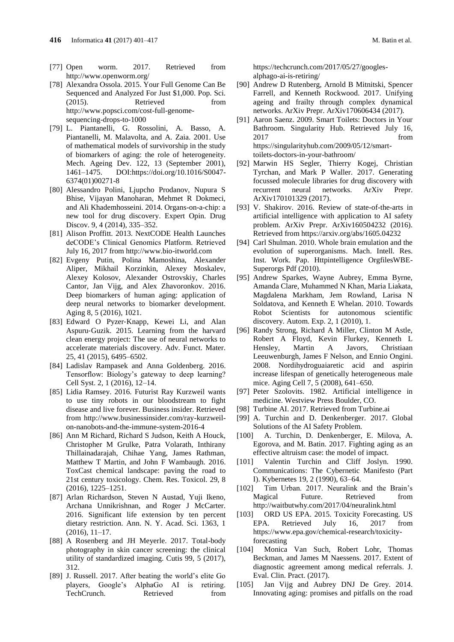- 
- [77] Open worm. 2017. Retrieved from http://www.openworm.org/
- [78] Alexandra Ossola. 2015. Your Full Genome Can Be Sequenced and Analyzed For Just \$1,000. Pop. Sci. (2015). Retrieved from http://www.popsci.com/cost-full-genomesequencing-drops-to-1000
- [79] L. Piantanelli, G. Rossolini, A. Basso, A. Piantanelli, M. Malavolta, and A. Zaia. 2001. Use of mathematical models of survivorship in the study of biomarkers of aging: the role of heterogeneity. Mech. Ageing Dev. 122, 13 (September 2001), 1461–1475. DOI:https://doi.org/10.1016/S0047- 6374(01)00271-8
- [80] Alessandro Polini, Ljupcho Prodanov, Nupura S Bhise, Vijayan Manoharan, Mehmet R Dokmeci, and Ali Khademhosseini. 2014. Organs-on-a-chip: a new tool for drug discovery. Expert Opin. Drug Discov. 9, 4 (2014), 335–352.
- [81] Alison Proffitt. 2013. NextCODE Health Launches deCODE's Clinical Genomics Platform. Retrieved July 16, 2017 from http://www.bio-itworld.com
- [82] Evgeny Putin, Polina Mamoshina, Alexander Aliper, Mikhail Korzinkin, Alexey Moskalev, Alexey Kolosov, Alexander Ostrovskiy, Charles Cantor, Jan Vijg, and Alex Zhavoronkov. 2016. Deep biomarkers of human aging: application of deep neural networks to biomarker development. Aging 8, 5 (2016), 1021.
- [83] Edward O Pyzer‐Knapp, Kewei Li, and Alan Aspuru‐Guzik. 2015. Learning from the harvard clean energy project: The use of neural networks to accelerate materials discovery. Adv. Funct. Mater. 25, 41 (2015), 6495–6502.
- [84] Ladislav Rampasek and Anna Goldenberg. 2016. Tensorflow: Biology's gateway to deep learning? Cell Syst. 2, 1 (2016), 12–14.
- [85] Lidia Ramsey. 2016. Futurist Ray Kurzweil wants to use tiny robots in our bloodstream to fight disease and live forever. Business insider. Retrieved from http://www.businessinsider.com/ray-kurzweilon-nanobots-and-the-immune-system-2016-4
- [86] Ann M Richard, Richard S Judson, Keith A Houck, Christopher M Grulke, Patra Volarath, Inthirany Thillainadarajah, Chihae Yang, James Rathman, Matthew T Martin, and John F Wambaugh. 2016. ToxCast chemical landscape: paving the road to 21st century toxicology. Chem. Res. Toxicol. 29, 8 (2016), 1225–1251.
- [87] Arlan Richardson, Steven N Austad, Yuji Ikeno, Archana Unnikrishnan, and Roger J McCarter. 2016. Significant life extension by ten percent dietary restriction. Ann. N. Y. Acad. Sci. 1363, 1 (2016), 11–17.
- [88] A Rosenberg and JH Meyerle. 2017. Total-body photography in skin cancer screening: the clinical utility of standardized imaging. Cutis 99, 5 (2017), 312.
- [89] J. Russell. 2017. After beating the world's elite Go players, Google's AlphaGo AI is retiring. TechCrunch. Retrieved from

https://techcrunch.com/2017/05/27/googlesalphago-ai-is-retiring/

- [90] Andrew D Rutenberg, Arnold B Mitnitski, Spencer Farrell, and Kenneth Rockwood. 2017. Unifying ageing and frailty through complex dynamical networks. ArXiv Prepr. ArXiv170606434 (2017).
- [91] Aaron Saenz. 2009. Smart Toilets: Doctors in Your Bathroom. Singularity Hub. Retrieved July 16, 2017 from https://singularityhub.com/2009/05/12/smarttoilets-doctors-in-your-bathroom/
- [92] Marwin HS Segler, Thierry Kogej, Christian Tyrchan, and Mark P Waller. 2017. Generating focussed molecule libraries for drug discovery with recurrent neural networks. ArXiv Prepr. ArXiv170101329 (2017).
- [93] V. Shakirov. 2016. Review of state-of-the-arts in artificial intelligence with application to AI safety problem. ArXiv Prepr. ArXiv160504232 (2016). Retrieved from https://arxiv.org/abs/1605.04232
- [94] Carl Shulman. 2010. Whole brain emulation and the evolution of superorganisms. Mach. Intell. Res. Inst. Work. Pap. Httpintelligence OrgfilesWBE-Superorgs Pdf (2010).
- [95] Andrew Sparkes, Wayne Aubrey, Emma Byrne, Amanda Clare, Muhammed N Khan, Maria Liakata, Magdalena Markham, Jem Rowland, Larisa N Soldatova, and Kenneth E Whelan. 2010. Towards Robot Scientists for autonomous scientific discovery. Autom. Exp. 2, 1 (2010), 1.
- [96] Randy Strong, Richard A Miller, Clinton M Astle, Robert A Floyd, Kevin Flurkey, Kenneth L Hensley, Martin A Javors, Christiaan Leeuwenburgh, James F Nelson, and Ennio Ongini. 2008. Nordihydroguaiaretic acid and aspirin increase lifespan of genetically heterogeneous male mice. Aging Cell 7, 5 (2008), 641–650.
- [97] Peter Szolovits. 1982. Artificial intelligence in medicine. Westview Press Boulder, CO.
- [98] Turbine AI. 2017. Retrieved from Turbine.ai
- [99] A. Turchin and D. Denkenberger. 2017. Global Solutions of the AI Safety Problem.
- [100] A. Turchin, D. Denkenberger, E. Milova, A. Egorova, and M. Batin. 2017. Fighting aging as an effective altruism case: the model of impact.
- [101] Valentin Turchin and Cliff Joslyn. 1990. Communications: The Cybernetic Manifesto (Part I). Kybernetes 19, 2 (1990), 63–64.
- [102] Tim Urban. 2017. Neuralink and the Brain's Magical Future. Retrieved from http://waitbutwhy.com/2017/04/neuralink.html
- [103] ORD US EPA. 2015. Toxicity Forecasting. US EPA. Retrieved July 16, 2017 from https://www.epa.gov/chemical-research/toxicityforecasting
- [104] Monica Van Such, Robert Lohr, Thomas Beckman, and James M Naessens. 2017. Extent of diagnostic agreement among medical referrals. J. Eval. Clin. Pract. (2017).
- [105] Jan Vijg and Aubrey DNJ De Grey. 2014. Innovating aging: promises and pitfalls on the road